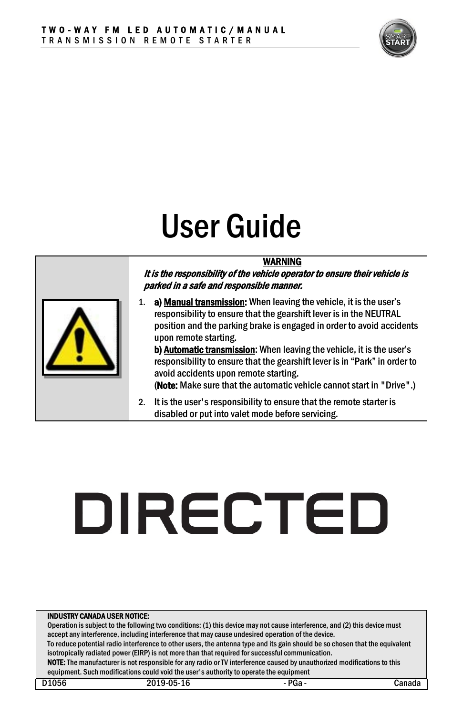

## User Guide

#### WARNING

It is the responsibility of the vehicle operator to ensure their vehicle is parked in a safe and responsible manner.

1. a) Manual transmission: When leaving the vehicle, it is the user's responsibility to ensure that the gearshift lever is in the NEUTRAL position and the parking brake is engaged in order to avoid accidents upon remote starting.

b) Automatic transmission: When leaving the vehicle, it is the user's responsibility to ensure that the gearshift lever is in "Park" in order to avoid accidents upon remote starting.

(Note: Make sure that the automatic vehicle cannot start in "Drive".)

2. It is the user's responsibility to ensure that the remote starter is disabled or put into valet mode before servicing.

# **DIRECTED**

#### INDUSTRY CANADA USER NOTICE:

Operation is subject to the following two conditions: (1) this device may not cause interference, and (2) this device must accept any interference, including interference that may cause undesired operation of the device.

To reduce potential radio interference to other users, the antenna type and its gain should be so chosen that the equivalent isotropically radiated power (EIRP) is not more than that required for successful communication.

NOTE: The manufacturer is not responsible for any radio or TV interference caused by unauthorized modifications to this equipment. Such modifications could void the user's authority to operate the equipment

| ٠<br>۰.<br>× |
|--------------|
|--------------|

D1056 2019-05-16 - PGa - PGa - Canada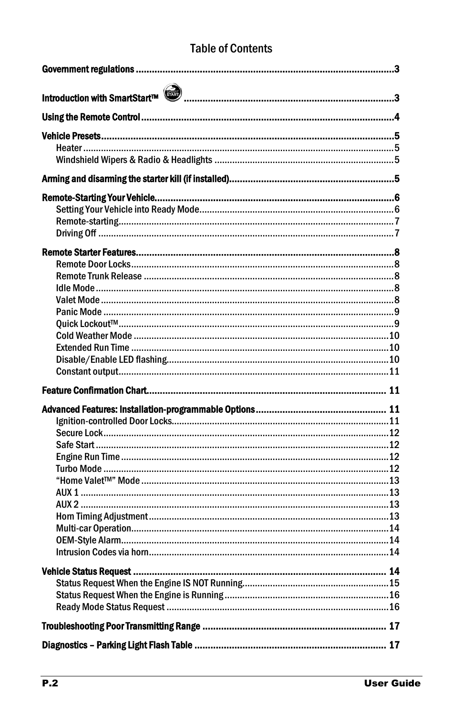#### **Table of Contents**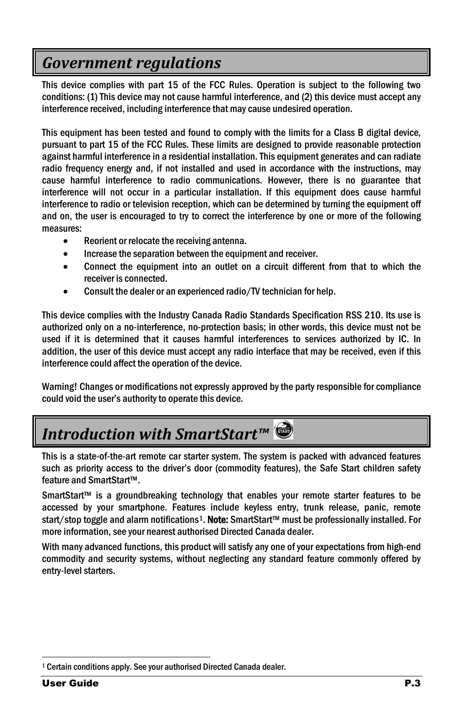## <span id="page-2-0"></span>*Government regulations*

This device complies with part 15 of the FCC Rules. Operation is subject to the following two conditions: (1) This device may not cause harmful interference, and (2) this device must accept any interference received, including interference that may cause undesired operation.

This equipment has been tested and found to comply with the limits for a Class B digital device, pursuant to part 15 of the FCC Rules. These limits are designed to provide reasonable protection against harmful interference in a residential installation. This equipment generates and can radiate radio frequency energy and, if not installed and used in accordance with the instructions, may cause harmful interference to radio communications. However, there is no guarantee that interference will not occur in a particular installation. If this equipment does cause harmful interference to radio or television reception, which can be determined by turning the equipment off and on, the user is encouraged to try to correct the interference by one or more of the following measures:

- Reorient or relocate the receiving antenna.
- Increase the separation between the equipment and receiver.
- Connect the equipment into an outlet on a circuit different from that to which the receiver is connected.
- Consult the dealer or an experienced radio/TV technician for help.

This device complies with the Industry Canada Radio Standards Specification RSS 210. Its use is authorized only on a no-interference, no-protection basis; in other words, this device must not be used if it is determined that it causes harmful interferences to services authorized by IC. In addition, the user of this device must accept any radio interface that may be received, even if this interference could affect the operation of the device.

Warning! Changes or modifications not expressly approved by the party responsible for compliance could void the user's authority to operate this device.

## <span id="page-2-1"></span>*Introduction with SmartStart™*

This is a state-of-the-art remote car starter system. The system is packed with advanced features such as priority access to the driver's door (commodity features), the Safe Start children safety feature and SmartStart™.

SmartStart™ is a groundbreaking technology that enables your remote starter features to be accessed by your smartphone. Features include keyless entry, trunk release, panic, remote start/stop toggle and alarm notifications<sup>1</sup>. Note: SmartStart™ must be professionally installed. For more information, see your nearest authorised Directed Canada dealer.

With many advanced functions, this product will satisfy any one of your expectations from high-end commodity and security systems, without neglecting any standard feature commonly offered by entry-level starters.

<span id="page-2-2"></span> <sup>1</sup> Certain conditions apply. See your authorised Directed Canada dealer.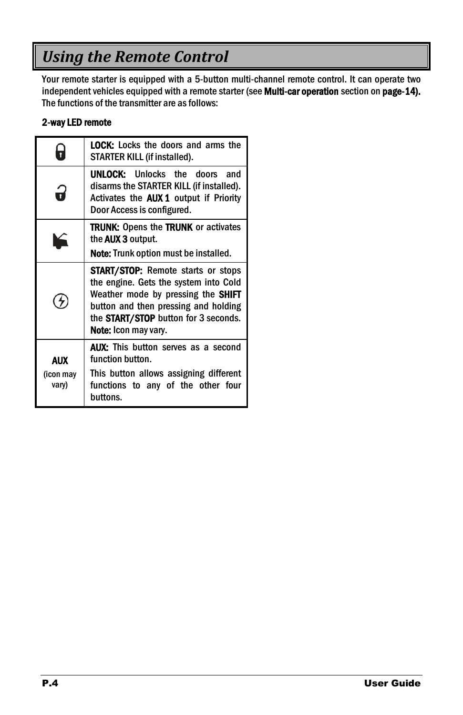## <span id="page-3-0"></span>*Using the Remote Control*

Your remote starter is equipped with a 5-button multi-channel remote control. It can operate two independent vehicles equipped with a remote starter (see Multi-car operation section on page[-14\).](#page-13-0) The functions of the transmitter are as follows:

#### 2-way LED remote

|                           | <b>LOCK:</b> Locks the doors and arms the<br>STARTER KILL (if installed).                                                                                                                                                                      |
|---------------------------|------------------------------------------------------------------------------------------------------------------------------------------------------------------------------------------------------------------------------------------------|
|                           | <b>UNLOCK:</b> Unlocks the doors and<br>disarms the STARTER KILL (if installed).<br>Activates the <b>AUX 1</b> output if Priority<br>Door Access is configured.                                                                                |
|                           | <b>TRUNK:</b> Opens the <b>TRUNK</b> or activates<br>the <b>AUX 3</b> output.<br><b>Note:</b> Trunk option must be installed.                                                                                                                  |
|                           | <b>START/STOP:</b> Remote starts or stops<br>the engine. Gets the system into Cold<br>Weather mode by pressing the <b>SHIFT</b><br>button and then pressing and holding<br>the START/STOP button for 3 seconds.<br><b>Note:</b> Icon may vary. |
| AUX<br>(icon may<br>vary) | <b>AUX:</b> This button serves as a second<br>function button.<br>This button allows assigning different<br>functions to any of the other four<br>buttons.                                                                                     |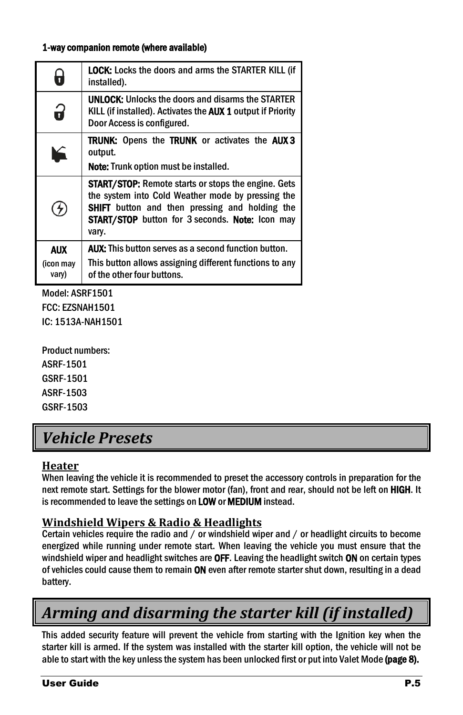#### 1-way companion remote (where available)

| 7                                | <b>LOCK:</b> Locks the doors and arms the STARTER KILL (if<br>installed).                                                                                                                                                                          |
|----------------------------------|----------------------------------------------------------------------------------------------------------------------------------------------------------------------------------------------------------------------------------------------------|
| 3                                | <b>UNLOCK:</b> Unlocks the doors and disarms the STARTER<br>KILL (if installed). Activates the AUX 1 output if Priority<br>Door Access is configured.                                                                                              |
| $\blacktriangleright$            | <b>TRUNK:</b> Opens the TRUNK or activates the AUX3<br>output.<br><b>Note:</b> Trunk option must be installed.                                                                                                                                     |
| ヶ                                | <b>START/STOP:</b> Remote starts or stops the engine. Gets<br>the system into Cold Weather mode by pressing the<br><b>SHIFT</b> button and then pressing and holding the<br><b>START/STOP</b> button for 3 seconds. <b>Note:</b> Icon may<br>vary. |
| <b>AUX</b><br>(icon may<br>vary) | <b>AUX:</b> This button serves as a second function button.<br>This button allows assigning different functions to any<br>of the other four buttons.                                                                                               |

Model: ASRF1501 FCC: EZSNAH1501 IC: 1513A-NAH1501

Product numbers: ASRF-1501 GSRF-1501 ASRF-1503

GSRF-1503

## <span id="page-4-0"></span>*Vehicle Presets*

#### <span id="page-4-1"></span>**Heater**

When leaving the vehicle it is recommended to preset the accessory controls in preparation for the next remote start. Settings for the blower motor (fan), front and rear, should not be left on HIGH. It is recommended to leave the settings on LOW or MEDIUM instead.

#### <span id="page-4-2"></span>**Windshield Wipers & Radio & Headlights**

Certain vehicles require the radio and / or windshield wiper and / or headlight circuits to become energized while running under remote start. When leaving the vehicle you must ensure that the windshield wiper and headlight switches are OFF. Leaving the headlight switch ON on certain types of vehicles could cause them to remain ON even after remote starter shut down, resulting in a dead battery.

## <span id="page-4-3"></span>*Arming and disarming the starter kill (if installed)*

This added security feature will prevent the vehicle from starting with the Ignition key when the starter kill is armed. If the system was installed with the starter kill option, the vehicle will not be able to start with the key unless the system has been unlocked first or put into Valet Mode (pag[e 8\).](#page-7-4)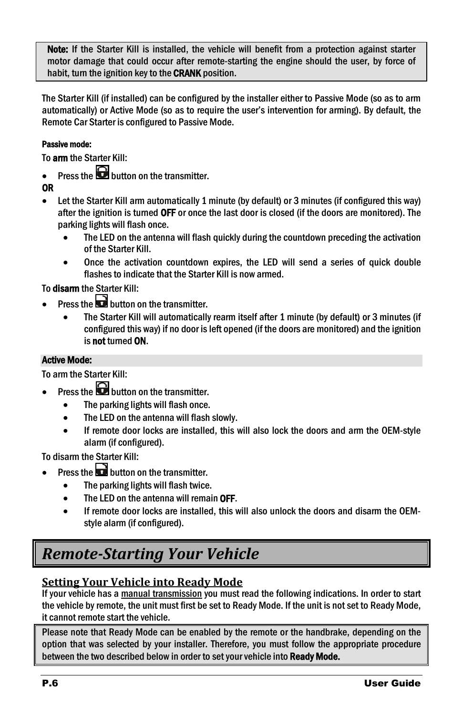Note: If the Starter Kill is installed, the vehicle will benefit from a protection against starter motor damage that could occur after remote-starting the engine should the user, by force of habit, turn the ignition key to the CRANK position.

The Starter Kill (if installed) can be configured by the installer either to Passive Mode (so as to arm automatically) or Active Mode (so as to require the user's intervention for arming). By default, the Remote Car Starter is configured to Passive Mode.

#### Passive mode:

To arm the Starter Kill:

Press the **button** on the transmitter.

OR

- Let the Starter Kill arm automatically 1 minute (by default) or 3 minutes (if configured this way) after the ignition is turned OFF or once the last door is closed (if the doors are monitored). The parking lights will flash once.
	- The LED on the antenna will flash quickly during the countdown preceding the activation of the Starter Kill.
	- Once the activation countdown expires, the LED will send a series of quick double flashes to indicate that the Starter Kill is now armed.

To disarm the Starter Kill:

- Press the  $\Box$  button on the transmitter.
	- The Starter Kill will automatically rearm itself after 1 minute (by default) or 3 minutes (if configured this way) if no door is left opened (if the doors are monitored) and the ignition is not turned ON.

#### Active Mode:

To arm the Starter Kill:

- Press the  $\bigcirc$  button on the transmitter.
	- The parking lights will flash once.
	- The LED on the antenna will flash slowly.
	- If remote door locks are installed, this will also lock the doors and arm the OEM-style alarm (if configured).

To disarm the Starter Kill:

- Press the **button** on the transmitter.
	- The parking lights will flash twice.
	- The LED on the antenna will remain OFF.
	- If remote door locks are installed, this will also unlock the doors and disarm the OEMstyle alarm (if configured).

## <span id="page-5-0"></span>*Remote-Starting Your Vehicle*

#### <span id="page-5-1"></span>**Setting Your Vehicle into Ready Mode**

If your vehicle has a manual transmission you must read the following indications. In order to start the vehicle by remote, the unit must first be set to Ready Mode. If the unit is not set to Ready Mode, it cannot remote start the vehicle.

Please note that Ready Mode can be enabled by the remote or the handbrake, depending on the option that was selected by your installer. Therefore, you must follow the appropriate procedure between the two described below in order to set your vehicle into Ready Mode.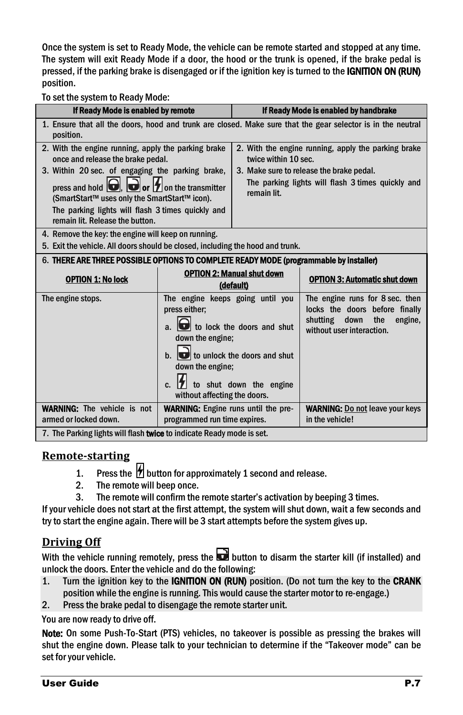Once the system is set to Ready Mode, the vehicle can be remote started and stopped at any time. The system will exit Ready Mode if a door, the hood or the trunk is opened, if the brake pedal is pressed, if the parking brake is disengaged or if the ignition key is turned to the IGNITION ON (RUN) position.

To set the system to Ready Mode:

| If Ready Mode is enabled by remote                                                                                                                                                                                                                       |                                                                                                                                                                                                                          |                                                | If Ready Mode is enabled by handbrake                                                                                                |  |
|----------------------------------------------------------------------------------------------------------------------------------------------------------------------------------------------------------------------------------------------------------|--------------------------------------------------------------------------------------------------------------------------------------------------------------------------------------------------------------------------|------------------------------------------------|--------------------------------------------------------------------------------------------------------------------------------------|--|
| position.                                                                                                                                                                                                                                                |                                                                                                                                                                                                                          |                                                | 1. Ensure that all the doors, hood and trunk are closed. Make sure that the gear selector is in the neutral                          |  |
| 2. With the engine running, apply the parking brake<br>once and release the brake pedal.                                                                                                                                                                 |                                                                                                                                                                                                                          | twice within 10 sec.                           | 2. With the engine running, apply the parking brake                                                                                  |  |
| 3. Within 20 sec. of engaging the parking brake,<br>press and hold $\Box$ , $\Box$ or $\Box$ on the transmitter<br>(SmartStart™ uses only the SmartStart™ icon).<br>The parking lights will flash 3 times quickly and<br>remain lit. Release the button. |                                                                                                                                                                                                                          | remain lit.                                    | 3. Make sure to release the brake pedal.<br>The parking lights will flash 3 times quickly and                                        |  |
| 4. Remove the key: the engine will keep on running.<br>5. Exit the vehicle. All doors should be closed, including the hood and trunk.                                                                                                                    |                                                                                                                                                                                                                          |                                                |                                                                                                                                      |  |
| 6. THERE ARE THREE POSSIBLE OPTIONS TO COMPLETE READY MODE (programmable by installer)                                                                                                                                                                   |                                                                                                                                                                                                                          |                                                |                                                                                                                                      |  |
| <b>OPTION 1: No lock</b>                                                                                                                                                                                                                                 |                                                                                                                                                                                                                          | <b>OPTION 2: Manual shut down</b><br>(default) | <b>OPTION 3: Automatic shut down</b>                                                                                                 |  |
| The engine stops.                                                                                                                                                                                                                                        | The engine keeps going until you<br>press either;<br>to lock the doors and shut<br>down the engine:<br>to unlock the doors and shut<br>down the engine:<br>to shut down the engine<br>C.<br>without affecting the doors. |                                                | The engine runs for 8 sec. then<br>locks the doors before finally<br>shutting<br>down<br>the<br>engine,<br>without user interaction. |  |
| <b>WARNING:</b> The vehicle is not<br>armed or locked down.                                                                                                                                                                                              | <b>WARNING:</b> Engine runs until the pre-<br>programmed run time expires.                                                                                                                                               |                                                | <b>WARNING:</b> Do not leave your keys<br>in the vehicle!                                                                            |  |
| 7. The Parking lights will flash twice to indicate Ready mode is set.                                                                                                                                                                                    |                                                                                                                                                                                                                          |                                                |                                                                                                                                      |  |

#### <span id="page-6-0"></span>**Remote-starting**

- 1. Press the  $\overleftrightarrow{B}$  button for approximately 1 second and release.<br>2. The remote will beep once.
- The remote will beep once.
- 3. The remote will confirm the remote starter's activation by beeping 3 times.

If your vehicle does not start at the first attempt, the system will shut down, wait a few seconds and try to start the engine again. There will be 3 start attempts before the system gives up.

#### <span id="page-6-1"></span>**Driving Off**

With the vehicle running remotely, press the  $\mathbf{b}$  button to disarm the starter kill (if installed) and unlock the doors. Enter the vehicle and do the following:

- 1. Turn the ignition key to the IGNITION ON (RUN) position. (Do not turn the key to the CRANK position while the engine is running. This would cause the starter motor to re-engage.)
- 2. Press the brake pedal to disengage the remote starter unit.

You are now ready to drive off.

Note: On some Push-To-Start (PTS) vehicles, no takeover is possible as pressing the brakes will shut the engine down. Please talk to your technician to determine if the "Takeover mode" can be set for your vehicle.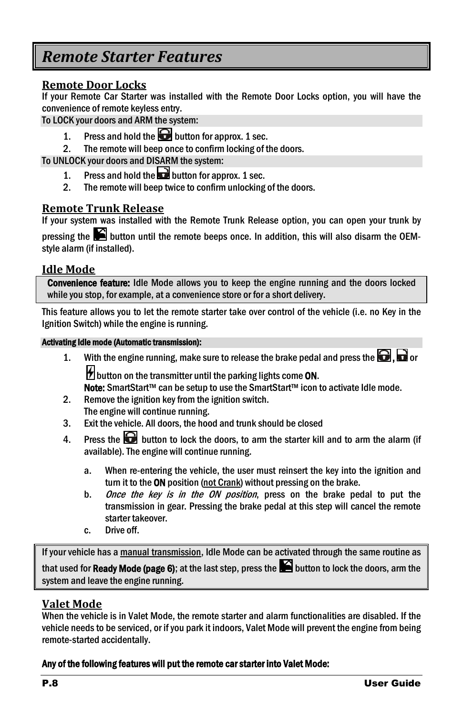## <span id="page-7-0"></span>*Remote Starter Features*

#### <span id="page-7-1"></span>**Remote Door Locks**

If your Remote Car Starter was installed with the Remote Door Locks option, you will have the convenience of remote keyless entry.

To LOCK your doors and ARM the system:

- 1. Press and hold the **button** for approx. 1 sec.
- 2. The remote will beep once to confirm locking of the doors.

To UNLOCK your doors and DISARM the system:

- 1. Press and hold the **button for approx.** 1 sec.<br>2. The remote will been twice to confirm unlocking
- The remote will beep twice to confirm unlocking of the doors.

#### <span id="page-7-2"></span>**Remote Trunk Release**

If your system was installed with the Remote Trunk Release option, you can open your trunk by

pressing the  $\blacktriangleright$  button until the remote beeps once. In addition, this will also disarm the OEMstyle alarm (if installed).

#### <span id="page-7-3"></span>**Idle Mode**

Convenience feature: Idle Mode allows you to keep the engine running and the doors locked while you stop, for example, at a convenience store or for a short delivery.

This feature allows you to let the remote starter take over control of the vehicle (i.e. no Key in the Ignition Switch) while the engine is running.

#### Activating Idle mode (Automatic transmission):

1. With the engine running, make sure to release the brake pedal and press the  $\Box$ .  $\Box$  or **H** button on the transmitter until the parking lights come ON.

Note: SmartStart™ can be setup to use the SmartStart™ icon to activate Idle mode.

- 2. Remove the ignition key from the ignition switch.
- The engine will continue running.
- 3. Exit the vehicle. All doors, the hood and trunk should be closed
- 4. Press the  $\Box$  button to lock the doors, to arm the starter kill and to arm the alarm (if available). The engine will continue running.
	- a. When re-entering the vehicle, the user must reinsert the key into the ignition and turn it to the ON position (not Crank) without pressing on the brake.
	- b. Once the key is in the ON position, press on the brake pedal to put the transmission in gear. Pressing the brake pedal at this step will cancel the remote starter takeover.
	- c. Drive off.

If your vehicle has a manual transmission, Idle Mode can be activated through the same routine as that used for Ready Mode (pag[e 6\);](#page-5-1) at the last step, press the  $\blacksquare$  button to lock the doors, arm the system and leave the engine running.

#### <span id="page-7-4"></span>**Valet Mode**

When the vehicle is in Valet Mode, the remote starter and alarm functionalities are disabled. If the vehicle needs to be serviced, or if you park it indoors, Valet Mode will prevent the engine from being remote-started accidentally.

#### Any of the following features will put the remote car starter into Valet Mode: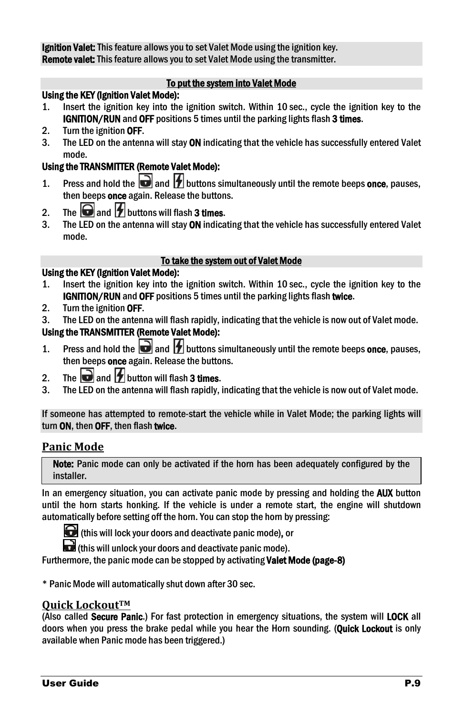Ignition Valet: This feature allows you to set Valet Mode using the ignition key. Remote valet: This feature allows you to set Valet Mode using the transmitter.

#### To put the system into Valet Mode

#### Using the KEY (Ignition Valet Mode):

- 1. Insert the ignition key into the ignition switch. Within 10 sec., cycle the ignition key to the IGNITION/RUN and OFF positions 5 times until the parking lights flash 3 times.
- 2. Turn the ignition OFF.
- 3. The LED on the antenna will stay ON indicating that the vehicle has successfully entered Valet mode.

#### Using the TRANSMITTER (Remote Valet Mode):

- 1. Press and hold the  $\Box$  and  $\Box$  buttons simultaneously until the remote beeps once, pauses, then beeps once again. Release the buttons.
- 2. The  $\bigcirc$  and  $\bigcirc$  buttons will flash 3 times.
- 3. The LED on the antenna will stay ON indicating that the vehicle has successfully entered Valet mode.

#### To take the system out of Valet Mode

#### Using the KEY (Ignition Valet Mode):

- 1. Insert the ignition key into the ignition switch. Within 10 sec., cycle the ignition key to the IGNITION/RUN and OFF positions 5 times until the parking lights flash twice.
- 2. Turn the ignition OFF.
- 3. The LED on the antenna will flash rapidly, indicating that the vehicle is now out of Valet mode.

#### Using the TRANSMITTER (Remote Valet Mode):

- 1. Press and hold the  $\Box$  and  $\Box$  buttons simultaneously until the remote beeps once, pauses, then beeps **once** again. Release the buttons.
- 2. The **and** *b* button will flash 3 times.
- 3. The LED on the antenna will flash rapidly, indicating that the vehicle is now out of Valet mode.

If someone has attempted to remote-start the vehicle while in Valet Mode; the parking lights will turn ON, then OFF, then flash twice.

#### <span id="page-8-0"></span>**Panic Mode**

Note: Panic mode can only be activated if the horn has been adequately configured by the installer.

In an emergency situation, you can activate panic mode by pressing and holding the AUX button until the horn starts honking. If the vehicle is under a remote start, the engine will shutdown automatically before setting off the horn. You can stop the horn by pressing:



(this will lock your doors and deactivate panic mode), or

(this will unlock your doors and deactivate panic mode).

Furthermore, the panic mode can be stopped by activating **Valet Mode (page[-8\)](#page-7-4)** 

\* Panic Mode will automatically shut down after 30 sec.

#### <span id="page-8-1"></span>**Quick Lockout™**

(Also called Secure Panic.) For fast protection in emergency situations, the system will LOCK all doors when you press the brake pedal while you hear the Horn sounding. (**Quick Lockout** is only available when Panic mode has been triggered.)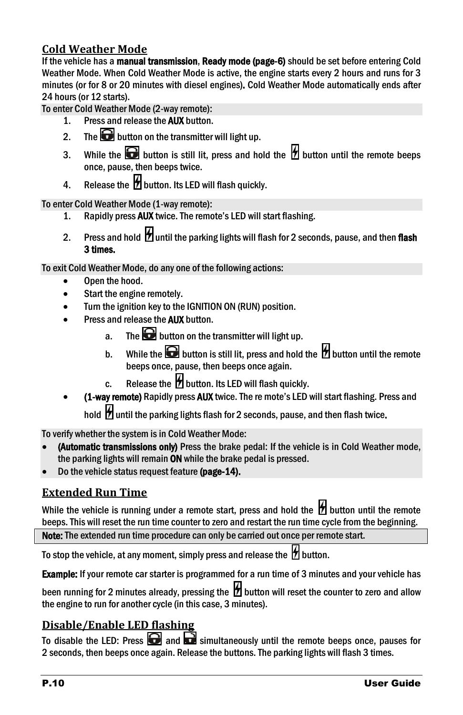#### <span id="page-9-0"></span>**Cold Weather Mode**

If the vehicle has a manual transmission, Ready mode (page[-6\)](#page-5-1) should be set before entering Cold Weather Mode. When Cold Weather Mode is active, the engine starts every 2 hours and runs for 3 minutes (or for 8 or 20 minutes with diesel engines). Cold Weather Mode automatically ends after 24 hours (or 12 starts).

To enter Cold Weather Mode (2-way remote):

- 1. Press and release the **AUX** button.
- 2. The **b**utton on the transmitter will light up.
- 3. While the **button** is still lit, press and hold the  $\mathcal{L}$  button until the remote beeps once, pause, then beeps twice.
- 4. Release the  $\overline{\mathcal{H}}$  button. Its LED will flash quickly.

To enter Cold Weather Mode (1-way remote):

- 1. Rapidly press AUX twice. The remote's LED will start flashing.
- 2. Press and hold  $\mathcal H$  until the parking lights will flash for 2 seconds, pause, and then flash 3 times.

To exit Cold Weather Mode, do any one of the following actions:

- Open the hood.
- Start the engine remotely.
- Turn the ignition key to the IGNITION ON (RUN) position.
- Press and release the **AUX** button.
	- a. The **b**utton on the transmitter will light up.
	- b. While the **button** is still lit, press and hold the  $\mathcal{B}$  button until the remote beeps once, pause, then beeps once again.
	- c. Release the  $\mathcal H$  button. Its LED will flash quickly.
- (1-way remote) Rapidly press AUX twice. The re mote's LED will start flashing. Press and hold **H** until the parking lights flash for 2 seconds, pause, and then flash twice.

To verify whether the system is in Cold Weather Mode:

- (Automatic transmissions only) Press the brake pedal: If the vehicle is in Cold Weather mode, the parking lights will remain ON while the brake pedal is pressed.
- Do the vehicle status request feature (page[-14\).](#page-13-3)

#### <span id="page-9-1"></span>**Extended Run Time**

While the vehicle is running under a remote start, press and hold the  $\mathcal H$  button until the remote beeps. This will reset the run time counter to zero and restart the run time cycle from the beginning.

Note: The extended run time procedure can only be carried out once per remote start.

To stop the vehicle, at any moment, simply press and release the  $\bm{\mathcal{W}}$  button.

**Example:** If your remote car starter is programmed for a run time of 3 minutes and your vehicle has

been running for 2 minutes already, pressing the  $\mathcal H$  button will reset the counter to zero and allow the engine to run for another cycle (in this case, 3 minutes).

#### <span id="page-9-2"></span>**Disable/Enable LED flashing**

To disable the LED: Press  $\Box$  and  $\Box$  simultaneously until the remote beeps once, pauses for 2 seconds, then beeps once again. Release the buttons. The parking lights will flash 3 times.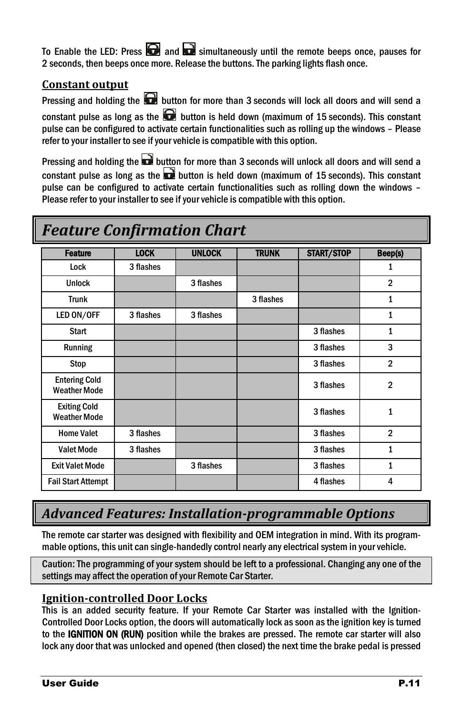To Enable the LED: Press  $\Box$  and  $\Box$  simultaneously until the remote beeps once, pauses for 2 seconds, then beeps once more. Release the buttons. The parking lights flash once.

#### <span id="page-10-0"></span>**Constant output**

Pressing and holding the  $\bigcirc$  button for more than 3 seconds will lock all doors and will send a constant pulse as long as the  $\bigodot$  button is held down (maximum of 15 seconds). This constant pulse can be configured to activate certain functionalities such as rolling up the windows – Please refer to your installer to see if your vehicle is compatible with this option.

Pressing and holding the  $\Box$  button for more than 3 seconds will unlock all doors and will send a constant pulse as long as the  $\Box$  button is held down (maximum of 15 seconds). This constant pulse can be configured to activate certain functionalities such as rolling down the windows – Please refer to your installer to see if your vehicle is compatible with this option.

## <span id="page-10-1"></span>*Feature Confirmation Chart*

| <b>Feature</b>                              | <b>LOCK</b> | <b>UNLOCK</b> | <b>TRUNK</b> | <b>START/STOP</b> | Beep(s)        |
|---------------------------------------------|-------------|---------------|--------------|-------------------|----------------|
| Lock                                        | 3 flashes   |               |              |                   | 1              |
| <b>Unlock</b>                               |             | 3 flashes     |              |                   | $\overline{2}$ |
| <b>Trunk</b>                                |             |               | 3 flashes    |                   | $\mathbf{1}$   |
| LED ON/OFF                                  | 3 flashes   | 3 flashes     |              |                   | 1              |
| <b>Start</b>                                |             |               |              | 3 flashes         | 1              |
| Running                                     |             |               |              | 3 flashes         | 3              |
| Stop                                        |             |               |              | 3 flashes         | $\overline{2}$ |
| <b>Entering Cold</b><br><b>Weather Mode</b> |             |               |              | 3 flashes         | $\overline{2}$ |
| <b>Exiting Cold</b><br><b>Weather Mode</b>  |             |               |              | 3 flashes         | $\mathbf{1}$   |
| <b>Home Valet</b>                           | 3 flashes   |               |              | 3 flashes         | $\overline{2}$ |
| <b>Valet Mode</b>                           | 3 flashes   |               |              | 3 flashes         | $\mathbf{1}$   |
| <b>Exit Valet Mode</b>                      |             | 3 flashes     |              | 3 flashes         | $\mathbf{1}$   |
| <b>Fail Start Attempt</b>                   |             |               |              | 4 flashes         | 4              |

### <span id="page-10-2"></span>*Advanced Features: Installation-programmable Options*

The remote car starter was designed with flexibility and OEM integration in mind. With its programmable options, this unit can single-handedly control nearly any electrical system in your vehicle.

Caution: The programming of your system should be left to a professional. Changing any one of the settings may affect the operation of your Remote Car Starter.

#### <span id="page-10-3"></span>**Ignition-controlled Door Locks**

This is an added security feature. If your Remote Car Starter was installed with the Ignition-Controlled Door Locks option, the doors will automatically lock as soon as the ignition key is turned to the IGNITION ON (RUN) position while the brakes are pressed. The remote car starter will also lock any door that was unlocked and opened (then closed) the next time the brake pedal is pressed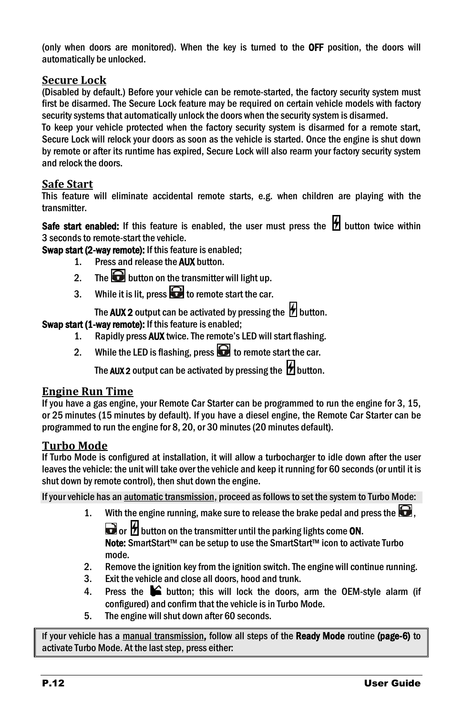(only when doors are monitored). When the key is turned to the OFF position, the doors will automatically be unlocked.

#### <span id="page-11-0"></span>**Secure Lock**

(Disabled by default.) Before your vehicle can be remote-started, the factory security system must first be disarmed. The Secure Lock feature may be required on certain vehicle models with factory security systems that automatically unlock the doors when the security system is disarmed.

To keep your vehicle protected when the factory security system is disarmed for a remote start, Secure Lock will relock your doors as soon as the vehicle is started. Once the engine is shut down by remote or after its runtime has expired, Secure Lock will also rearm your factory security system and relock the doors.

#### <span id="page-11-1"></span>**Safe Start**

This feature will eliminate accidental remote starts, e.g. when children are playing with the transmitter.

Safe start enabled: If this feature is enabled, the user must press the  $\boxtimes$  button twice within 3 seconds to remote-start the vehicle.

Swap start (2-way remote): If this feature is enabled;

- 1. Press and release the **AUX** button.
- 2. The **b**utton on the transmitter will light up.
- 3. While it is lit, press  $\bigodot$  to remote start the car.

The AUX 2 output can be activated by pressing the  $\mathcal H$  button.

#### Swap start (1-way remote): If this feature is enabled:

- 1. Rapidly press AUX twice. The remote's LED will start flashing.
- 2. While the LED is flashing, press  $\bigodot$  to remote start the car.

The AUX 2 output can be activated by pressing the  $\mathcal B$  button.

#### <span id="page-11-2"></span>**Engine Run Time**

If you have a gas engine, your Remote Car Starter can be programmed to run the engine for 3, 15, or 25 minutes (15 minutes by default). If you have a diesel engine, the Remote Car Starter can be programmed to run the engine for 8, 20, or 30 minutes (20 minutes default).

#### <span id="page-11-3"></span>**Turbo Mode**

If Turbo Mode is configured at installation, it will allow a turbocharger to idle down after the user leaves the vehicle: the unit will take over the vehicle and keep it running for 60 seconds (or until it is shut down by remote control), then shut down the engine.

If your vehicle has an automatic transmission, proceed as follows to set the system to Turbo Mode:

1. With the engine running, make sure to release the brake pedal and press the  $\Box$ .  $\Box$  or  $\mathcal H$  button on the transmitter until the parking lights come ON.

Note: SmartStart™ can be setup to use the SmartStart™ icon to activate Turbo mode.

- 2. Remove the ignition key from the ignition switch. The engine will continue running.
- 3. Exit the vehicle and close all doors, hood and trunk.
- 4. Press the  $\blacktriangleright$  button; this will lock the doors, arm the OEM-style alarm (if configured) and confirm that the vehicle is in Turbo Mode.
- 5. The engine will shut down after 60 seconds.

If your vehicle has a manual transmission, follow all steps of the Ready Mode routine (page[-6\)](#page-5-1) to activate Turbo Mode. At the last step, press either: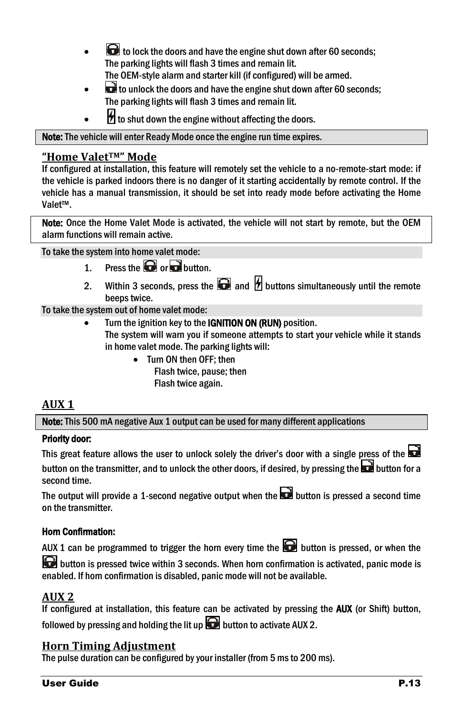- to lock the doors and have the engine shut down after 60 seconds; The parking lights will flash 3 times and remain lit. The OEM-style alarm and starter kill (if configured) will be armed.
- $\overrightarrow{a}$  to unlock the doors and have the engine shut down after 60 seconds; The parking lights will flash 3 times and remain lit.
- $H$  to shut down the engine without affecting the doors.

Note: The vehicle will enter Ready Mode once the engine run time expires.

#### <span id="page-12-0"></span>**"Home ValetTM" Mode**

If configured at installation, this feature will remotely set the vehicle to a no-remote-start mode: if the vehicle is parked indoors there is no danger of it starting accidentally by remote control. If the vehicle has a manual transmission, it should be set into ready mode before activating the Home Valet™.

Note: Once the Home Valet Mode is activated, the vehicle will not start by remote, but the OEM alarm functions will remain active.

To take the system into home valet mode:

- 1. Press the  $\Box$  or  $\Box$  button.
- 2. Within 3 seconds, press the  $\Box$  and  $\partial$  buttons simultaneously until the remote beeps twice.

To take the system out of home valet mode:

- Turn the ignition key to the IGNITION ON (RUN) position.
	- The system will warn you if someone attempts to start your vehicle while it stands in home valet mode. The parking lights will:
		- Turn ON then OFF; then Flash twice, pause; then Flash twice again.

#### <span id="page-12-1"></span>**AUX 1**

Note: This 500 mA negative Aux 1 output can be used for many different applications

#### Priority door:

This great feature allows the user to unlock solely the driver's door with a single press of the button on the transmitter, and to unlock the other doors, if desired, by pressing the  $\square$  button for a second time.

The output will provide a 1-second negative output when the  $\Box$  button is pressed a second time on the transmitter.

#### Horn Confirmation:

AUX 1 can be programmed to trigger the horn every time the  $\blacksquare$  button is pressed, or when the

**button is pressed twice within 3 seconds. When horn confirmation is activated, panic mode is** enabled. If horn confirmation is disabled, panic mode will not be available.

#### <span id="page-12-2"></span>**AUX 2**

| If configured at installation, this feature can be activated by pressing the <b>AUX</b> (or Shift) button, |  |  |  |  |
|------------------------------------------------------------------------------------------------------------|--|--|--|--|
| followed by pressing and holding the lit up $\blacksquare$ button to activate AUX 2.                       |  |  |  |  |

#### <span id="page-12-3"></span>**Horn Timing Adjustment**

The pulse duration can be configured by your installer (from 5 ms to 200 ms).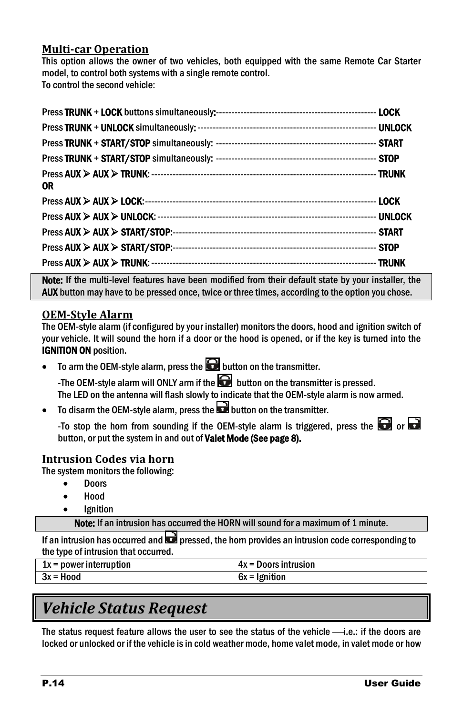#### <span id="page-13-0"></span>**Multi-car Operation**

This option allows the owner of two vehicles, both equipped with the same Remote Car Starter model, to control both systems with a single remote control. To control the second vehicle:

| 0R |  |
|----|--|
|    |  |
|    |  |
|    |  |
|    |  |
|    |  |

Note: If the multi-level features have been modified from their default state by your installer, the AUX button may have to be pressed once, twice or three times, according to the option you chose.

#### <span id="page-13-1"></span>**OEM-Style Alarm**

The OEM-style alarm (if configured by your installer) monitors the doors, hood and ignition switch of your vehicle. It will sound the horn if a door or the hood is opened, or if the key is turned into the IGNITION ON position.

To arm the OEM-style alarm, press the  $\bigodot$  button on the transmitter.

-The OEM-style alarm will ONLY arm if the  $\blacksquare$  button on the transmitter is pressed. The LED on the antenna will flash slowly to indicate that the OEM-style alarm is now armed.

To disarm the OEM-style alarm, press the  $\Box$  button on the transmitter.

-To stop the horn from sounding if the OEM-style alarm is triggered, press the  $\blacksquare$  or  $\blacksquare$ button, or put the system in and out of Valet Mode (See pag[e 8\).](#page-7-4)

#### <span id="page-13-2"></span>**Intrusion Codes via horn**

The system monitors the following:

- Doors
- Hood
- **Ignition**

Note: If an intrusion has occurred the HORN will sound for a maximum of 1 minute.

If an intrusion has occurred and  $\Box$  pressed, the horn provides an intrusion code corresponding to the type of intrusion that occurred.

| $1x = power$ interruption | $4x =$ Doors intrusion |
|---------------------------|------------------------|
| 3x = Hood                 | 6x = Ignition          |

## <span id="page-13-3"></span>*Vehicle Status Request*

The status request feature allows the user to see the status of the vehicle  $\longrightarrow$  i.e.: if the doors are locked or unlocked or if the vehicle is in cold weather mode, home valet mode, in valet mode or how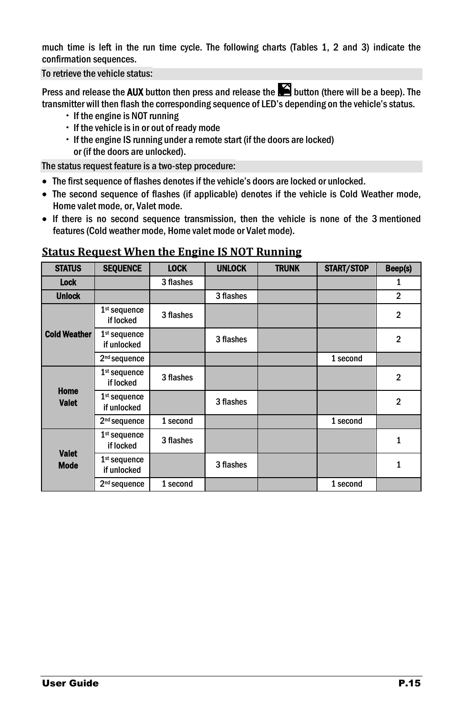much time is left in the run time cycle. The following charts (Tables 1, 2 and 3) indicate the confirmation sequences.

To retrieve the vehicle status:

Press and release the AUX button then press and release the  $\blacksquare$  button (there will be a beep). The transmitter will then flash the corresponding sequence of LED's depending on the vehicle's status.

- $\cdot$  If the engine is NOT running
- $\cdot$  If the vehicle is in or out of ready mode
- If the engine IS running under a remote start (if the doors are locked) or (if the doors are unlocked).

The status request feature is a two-step procedure:

- The first sequence of flashes denotes if the vehicle's doors are locked or unlocked.
- The second sequence of flashes (if applicable) denotes if the vehicle is Cold Weather mode, Home valet mode, or, Valet mode.
- If there is no second sequence transmission, then the vehicle is none of the 3 mentioned features (Cold weather mode, Home valet mode or Valet mode).

| <b>STATUS</b>               | <b>SEQUENCE</b>                      | <b>LOCK</b> | <b>UNLOCK</b> | <b>TRUNK</b> | <b>START/STOP</b> | Beep(s)        |
|-----------------------------|--------------------------------------|-------------|---------------|--------------|-------------------|----------------|
| Lock                        |                                      | 3 flashes   |               |              |                   | 1              |
| <b>Unlock</b>               |                                      |             | 3 flashes     |              |                   | $\mathbf{2}$   |
|                             | $1st$ sequence<br>if locked          | 3 flashes   |               |              |                   | $\overline{2}$ |
| <b>Cold Weather</b>         | $1st$ sequence<br>if unlocked        |             | 3 flashes     |              |                   | $\overline{2}$ |
|                             | 2 <sup>nd</sup> sequence             |             |               |              | 1 second          |                |
| Home<br><b>Valet</b>        | $1st$ sequence<br>if locked          | 3 flashes   |               |              |                   | 2              |
|                             | $1^{\rm st}$ sequence<br>if unlocked |             | 3 flashes     |              |                   | $\overline{2}$ |
|                             | 2 <sup>nd</sup> sequence             | 1 second    |               |              | 1 second          |                |
|                             | $1st$ sequence<br>if locked          | 3 flashes   |               |              |                   | $\mathbf{1}$   |
| <b>Valet</b><br><b>Mode</b> | 1st sequence<br>if unlocked          |             | 3 flashes     |              |                   | $\mathbf{1}$   |
|                             | 2 <sup>nd</sup> sequence             | 1 second    |               |              | 1 second          |                |

#### <span id="page-14-0"></span>**Status Request When the Engine IS NOT Running**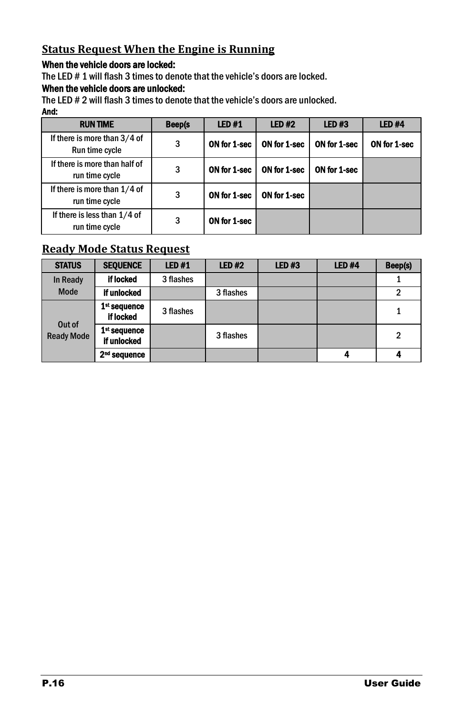#### <span id="page-15-0"></span>**Status Request When the Engine is Running**

#### When the vehicle doors are locked:

The LED # 1 will flash 3 times to denote that the vehicle's doors are locked.

#### When the vehicle doors are unlocked:

The LED # 2 will flash 3 times to denote that the vehicle's doors are unlocked.

#### And: RUN TIME Beep(s LED #1 LED #2 LED #3 LED #4 If there is more than 3/4 of Run time cycle  $\begin{array}{|c|c|c|c|c|}\n\hline\n\end{array}$  3  $\begin{array}{|c|c|c|c|c|}\n\hline\n\end{array}$  ON for 1-sec  $\begin{array}{|c|c|c|c|c|}\n\hline\n\end{array}$  ON for 1-sec  $\begin{array}{|c|c|c|c|c|}\n\hline\n\end{array}$  ON for 1-sec If there is more than half of run time cycle **3** ON for 1-sec **ON for 1-sec** ON for 1-sec If there is more than 1/4 of run time cycle <sup>3</sup> ON for 1-sec ON for 1-sec If there is less than 1/4 of run time cycle  $\begin{array}{|c|c|c|c|c|c|}\n\hline\n\text{run time cycle} & \text{3} & \text{ON for 1-sec}\n\end{array}$

#### <span id="page-15-1"></span>**Ready Mode Status Request**

| <b>STATUS</b>               | <b>SEQUENCE</b>                         | <b>LED#1</b> | <b>LED #2</b> | LED#3 | <b>LED #4</b> | Beep(s) |
|-----------------------------|-----------------------------------------|--------------|---------------|-------|---------------|---------|
| In Ready                    | if locked                               | 3 flashes    |               |       |               |         |
| Mode                        | if unlocked                             |              | 3 flashes     |       |               | 2       |
| Out of<br><b>Ready Mode</b> | 1 <sup>st</sup> sequence<br>if locked   | 3 flashes    |               |       |               |         |
|                             | 1 <sup>st</sup> sequence<br>if unlocked |              | 3 flashes     |       |               | 2       |
|                             | 2 <sup>nd</sup> sequence                |              |               |       | 4             |         |